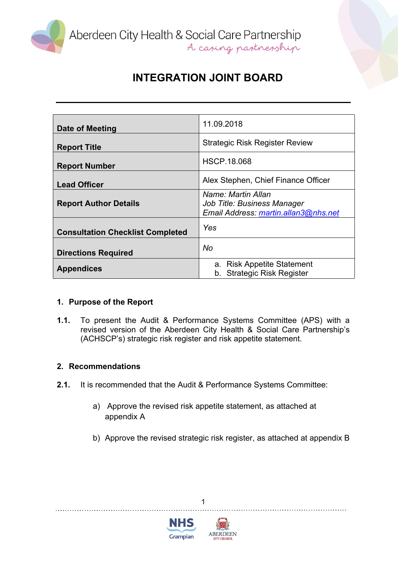

Aberdeen City Health & Social Care Partnership<br>A caning partnership

# **INTEGRATION JOINT BOARD**

| Date of Meeting                         | 11.09.2018                                                                                |
|-----------------------------------------|-------------------------------------------------------------------------------------------|
| <b>Report Title</b>                     | <b>Strategic Risk Register Review</b>                                                     |
| <b>Report Number</b>                    | <b>HSCP.18.068</b>                                                                        |
| <b>Lead Officer</b>                     | Alex Stephen, Chief Finance Officer                                                       |
| <b>Report Author Details</b>            | Name: Martin Allan<br>Job Title: Business Manager<br>Email Address: martin.allan3@nhs.net |
| <b>Consultation Checklist Completed</b> | Yes                                                                                       |
| <b>Directions Required</b>              | No                                                                                        |
| <b>Appendices</b>                       | a. Risk Appetite Statement<br>b. Strategic Risk Register                                  |

#### **1. Purpose of the Report**

**1.1.** To present the Audit & Performance Systems Committee (APS) with a revised version of the Aberdeen City Health & Social Care Partnership's (ACHSCP's) strategic risk register and risk appetite statement.

#### **2. Recommendations**

- **2.1.** It is recommended that the Audit & Performance Systems Committee:
	- a) Approve the revised risk appetite statement, as attached at appendix A

1

b) Approve the revised strategic risk register, as attached at appendix B



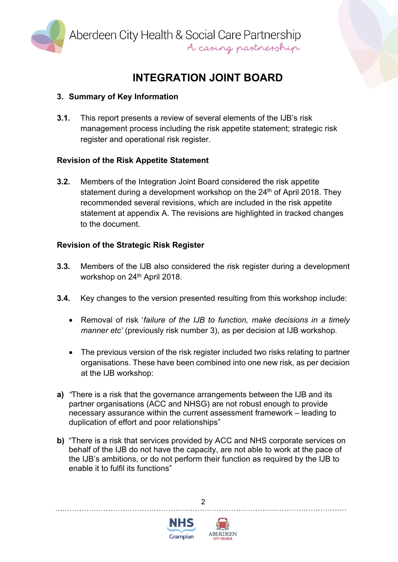

Aberdeen City Health & Social Care Partnership<br>A caping partnership

# **INTEGRATION JOINT BOARD**

### **3. Summary of Key Information**

**3.1.** This report presents a review of several elements of the IJB's risk management process including the risk appetite statement; strategic risk register and operational risk register.

### **Revision of the Risk Appetite Statement**

**3.2.** Members of the Integration Joint Board considered the risk appetite statement during a development workshop on the 24<sup>th</sup> of April 2018. They recommended several revisions, which are included in the risk appetite statement at appendix A. The revisions are highlighted in tracked changes to the document.

### **Revision of the Strategic Risk Register**

- **3.3.** Members of the IJB also considered the risk register during a development workshop on 24<sup>th</sup> April 2018.
- **3.4.** Key changes to the version presented resulting from this workshop include:
	- Removal of risk '*failure of the IJB to function, make decisions in a timely manner etc'* (previously risk number 3), as per decision at IJB workshop.
	- The previous version of the risk register included two risks relating to partner organisations. These have been combined into one new risk, as per decision at the IJB workshop:
- **a)** *"*There is a risk that the governance arrangements between the IJB and its partner organisations (ACC and NHSG) are not robust enough to provide necessary assurance within the current assessment framework – leading to duplication of effort and poor relationships"
- **b)** "There is a risk that services provided by ACC and NHS corporate services on behalf of the IJB do not have the capacity, are not able to work at the pace of the IJB's ambitions, or do not perform their function as required by the IJB to enable it to fulfil its functions"

 $\mathfrak{p}$ 



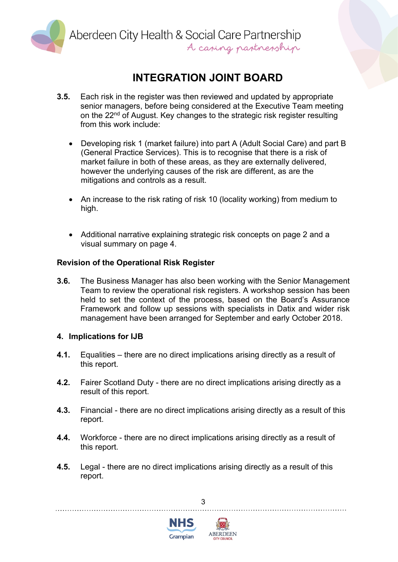

Aberdeen City Health & Social Care Partnership<br>A caring partnership

## **INTEGRATION JOINT BOARD**

- **3.5.** Each risk in the register was then reviewed and updated by appropriate senior managers, before being considered at the Executive Team meeting on the 22<sup>nd</sup> of August. Key changes to the strategic risk register resulting from this work include:
	- Developing risk 1 (market failure) into part A (Adult Social Care) and part B (General Practice Services). This is to recognise that there is a risk of market failure in both of these areas, as they are externally delivered, however the underlying causes of the risk are different, as are the mitigations and controls as a result.
	- An increase to the risk rating of risk 10 (locality working) from medium to high.
	- Additional narrative explaining strategic risk concepts on page 2 and a visual summary on page 4.

#### **Revision of the Operational Risk Register**

**3.6.** The Business Manager has also been working with the Senior Management Team to review the operational risk registers. A workshop session has been held to set the context of the process, based on the Board's Assurance Framework and follow up sessions with specialists in Datix and wider risk management have been arranged for September and early October 2018.

#### **4. Implications for IJB**

- **4.1.** Equalities there are no direct implications arising directly as a result of this report.
- **4.2.** Fairer Scotland Duty there are no direct implications arising directly as a result of this report.
- **4.3.** Financial there are no direct implications arising directly as a result of this report.
- **4.4.** Workforce there are no direct implications arising directly as a result of this report.
- **4.5.** Legal there are no direct implications arising directly as a result of this report.

3